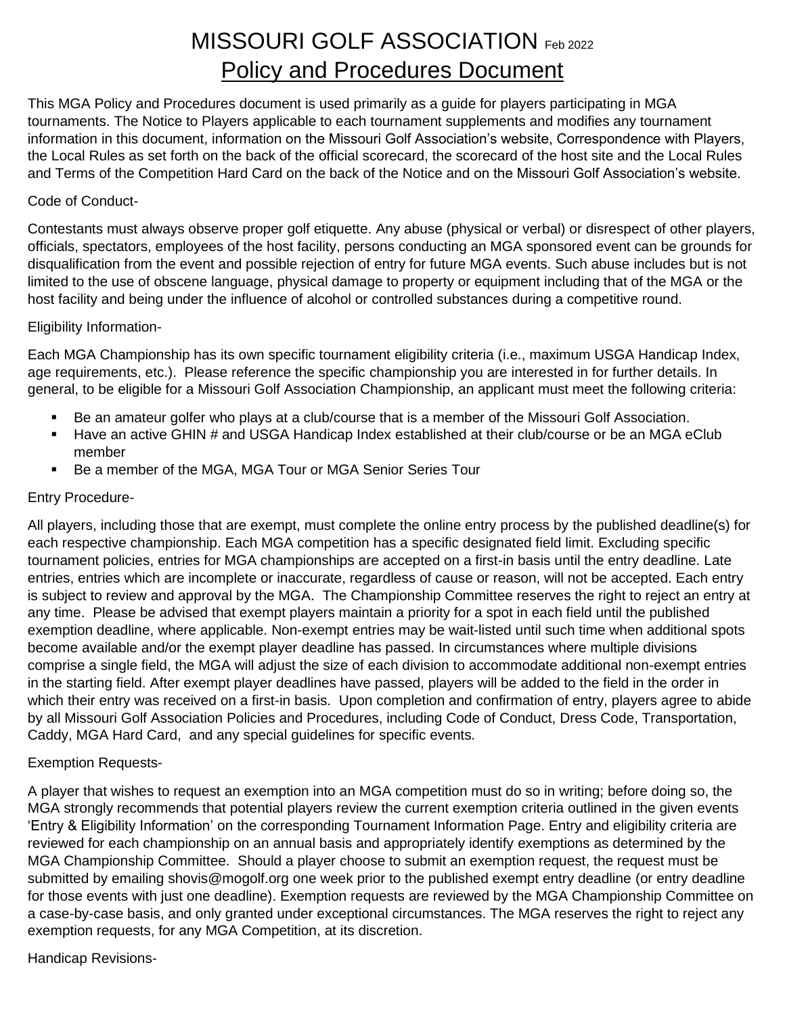# MISSOURI GOLF ASSOCIATION Feb 2022 Policy and Procedures Document

This MGA Policy and Procedures document is used primarily as a guide for players participating in MGA tournaments. The Notice to Players applicable to each tournament supplements and modifies any tournament information in this document, information on the Missouri Golf Association's website, Correspondence with Players, the Local Rules as set forth on the back of the official scorecard, the scorecard of the host site and the Local Rules and Terms of the Competition Hard Card on the back of the Notice and on the Missouri Golf Association's website.

#### Code of Conduct-

Contestants must always observe proper golf etiquette. Any abuse (physical or verbal) or disrespect of other players, officials, spectators, employees of the host facility, persons conducting an MGA sponsored event can be grounds for disqualification from the event and possible rejection of entry for future MGA events. Such abuse includes but is not limited to the use of obscene language, physical damage to property or equipment including that of the MGA or the host facility and being under the influence of alcohol or controlled substances during a competitive round.

#### Eligibility Information-

Each MGA Championship has its own specific tournament eligibility criteria (i.e., maximum USGA Handicap Index, age requirements, etc.). Please reference the specific championship you are interested in for further details. In general, to be eligible for a Missouri Golf Association Championship, an applicant must meet the following criteria:

- Be an amateur golfer who plays at a club/course that is a member of the Missouri Golf Association.
- Have an active GHIN # and USGA Handicap Index established at their club/course or be an MGA eClub member
- Be a member of the MGA, MGA Tour or MGA Senior Series Tour

#### Entry Procedure-

All players, including those that are exempt, must complete the online entry process by the published deadline(s) for each respective championship. Each MGA competition has a specific designated field limit. Excluding specific tournament policies, entries for MGA championships are accepted on a first-in basis until the entry deadline. Late entries, entries which are incomplete or inaccurate, regardless of cause or reason, will not be accepted. Each entry is subject to review and approval by the MGA. The Championship Committee reserves the right to reject an entry at any time. Please be advised that exempt players maintain a priority for a spot in each field until the published exemption deadline, where applicable. Non-exempt entries may be wait-listed until such time when additional spots become available and/or the exempt player deadline has passed. In circumstances where multiple divisions comprise a single field, the MGA will adjust the size of each division to accommodate additional non-exempt entries in the starting field. After exempt player deadlines have passed, players will be added to the field in the order in which their entry was received on a first-in basis. Upon completion and confirmation of entry, players agree to abide by all Missouri Golf Association Policies and Procedures, including Code of Conduct, Dress Code, Transportation, Caddy, MGA Hard Card, and any special guidelines for specific events.

#### Exemption Requests-

A player that wishes to request an exemption into an MGA competition must do so in writing; before doing so, the MGA strongly recommends that potential players review the current exemption criteria outlined in the given events 'Entry & Eligibility Information' on the corresponding Tournament Information Page. Entry and eligibility criteria are reviewed for each championship on an annual basis and appropriately identify exemptions as determined by the MGA Championship Committee. Should a player choose to submit an exemption request, the request must be submitted by emailing shovis@mogolf.org one week prior to the published exempt entry deadline (or entry deadline for those events with just one deadline). Exemption requests are reviewed by the MGA Championship Committee on a case-by-case basis, and only granted under exceptional circumstances. The MGA reserves the right to reject any exemption requests, for any MGA Competition, at its discretion.

Handicap Revisions-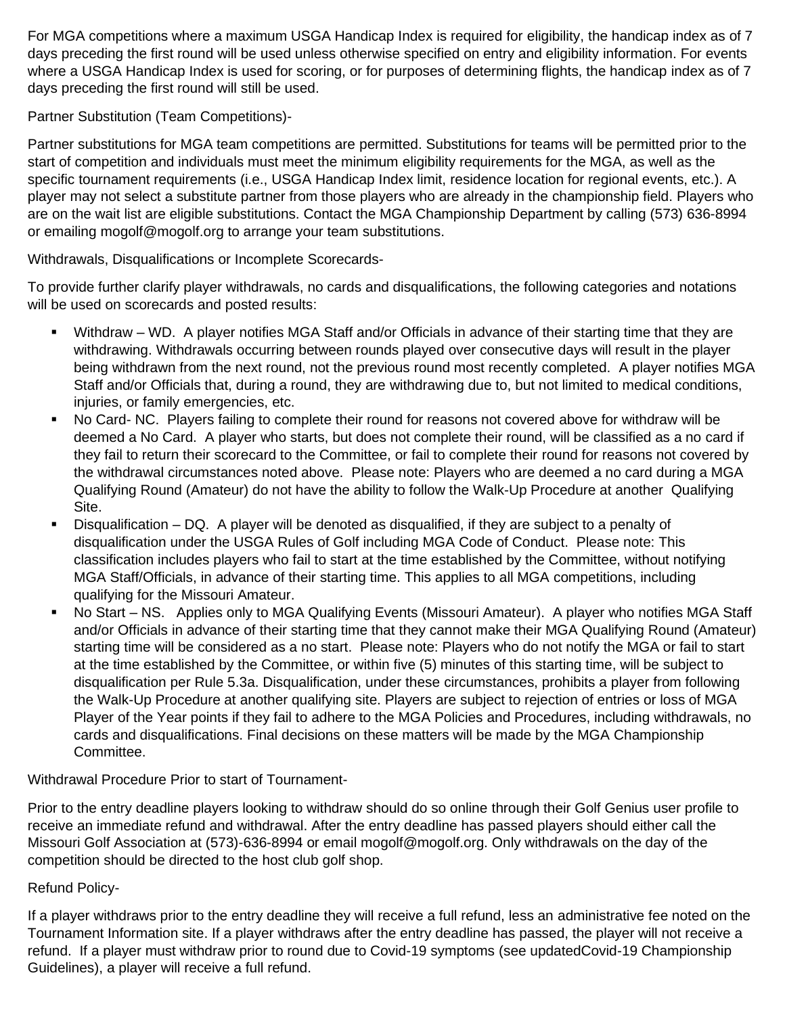For MGA competitions where a maximum USGA Handicap Index is required for eligibility, the handicap index as of 7 days preceding the first round will be used unless otherwise specified on entry and eligibility information. For events where a USGA Handicap Index is used for scoring, or for purposes of determining flights, the handicap index as of 7 days preceding the first round will still be used.

Partner Substitution (Team Competitions)-

Partner substitutions for MGA team competitions are permitted. Substitutions for teams will be permitted prior to the start of competition and individuals must meet the minimum eligibility requirements for the MGA, as well as the specific tournament requirements (i.e., USGA Handicap Index limit, residence location for regional events, etc.). A player may not select a substitute partner from those players who are already in the championship field. Players who are on the wait list are eligible substitutions. Contact the MGA Championship Department by calling (573) 636-8994 or emailing mogolf@mogolf.org to arrange your team substitutions.

Withdrawals, Disqualifications or Incomplete Scorecards-

To provide further clarify player withdrawals, no cards and disqualifications, the following categories and notations will be used on scorecards and posted results:

- Withdraw WD. A player notifies MGA Staff and/or Officials in advance of their starting time that they are withdrawing. Withdrawals occurring between rounds played over consecutive days will result in the player being withdrawn from the next round, not the previous round most recently completed. A player notifies MGA Staff and/or Officials that, during a round, they are withdrawing due to, but not limited to medical conditions, injuries, or family emergencies, etc.
- No Card- NC. Players failing to complete their round for reasons not covered above for withdraw will be deemed a No Card. A player who starts, but does not complete their round, will be classified as a no card if they fail to return their scorecard to the Committee, or fail to complete their round for reasons not covered by the withdrawal circumstances noted above. Please note: Players who are deemed a no card during a MGA Qualifying Round (Amateur) do not have the ability to follow the Walk-Up Procedure at another Qualifying Site.
- Disqualification DQ. A player will be denoted as disqualified, if they are subject to a penalty of disqualification under the USGA Rules of Golf including MGA Code of Conduct. Please note: This classification includes players who fail to start at the time established by the Committee, without notifying MGA Staff/Officials, in advance of their starting time. This applies to all MGA competitions, including qualifying for the Missouri Amateur.
- No Start NS. Applies only to MGA Qualifying Events (Missouri Amateur). A player who notifies MGA Staff and/or Officials in advance of their starting time that they cannot make their MGA Qualifying Round (Amateur) starting time will be considered as a no start. Please note: Players who do not notify the MGA or fail to start at the time established by the Committee, or within five (5) minutes of this starting time, will be subject to disqualification per Rule 5.3a. Disqualification, under these circumstances, prohibits a player from following the Walk-Up Procedure at another qualifying site. Players are subject to rejection of entries or loss of MGA Player of the Year points if they fail to adhere to the MGA Policies and Procedures, including withdrawals, no cards and disqualifications. Final decisions on these matters will be made by the MGA Championship Committee.

Withdrawal Procedure Prior to start of Tournament-

Prior to the entry deadline players looking to withdraw should do so online through their Golf Genius user profile to receive an immediate refund and withdrawal. After the entry deadline has passed players should either call the Missouri Golf Association at (573)-636-8994 or email mogolf@mogolf.org. Only withdrawals on the day of the competition should be directed to the host club golf shop.

# Refund Policy-

If a player withdraws prior to the entry deadline they will receive a full refund, less an administrative fee noted on the Tournament Information site. If a player withdraws after the entry deadline has passed, the player will not receive a refund. If a player must withdraw prior to round due to Covid-19 symptoms (see updatedCovid-19 Championship Guidelines), a player will receive a full refund.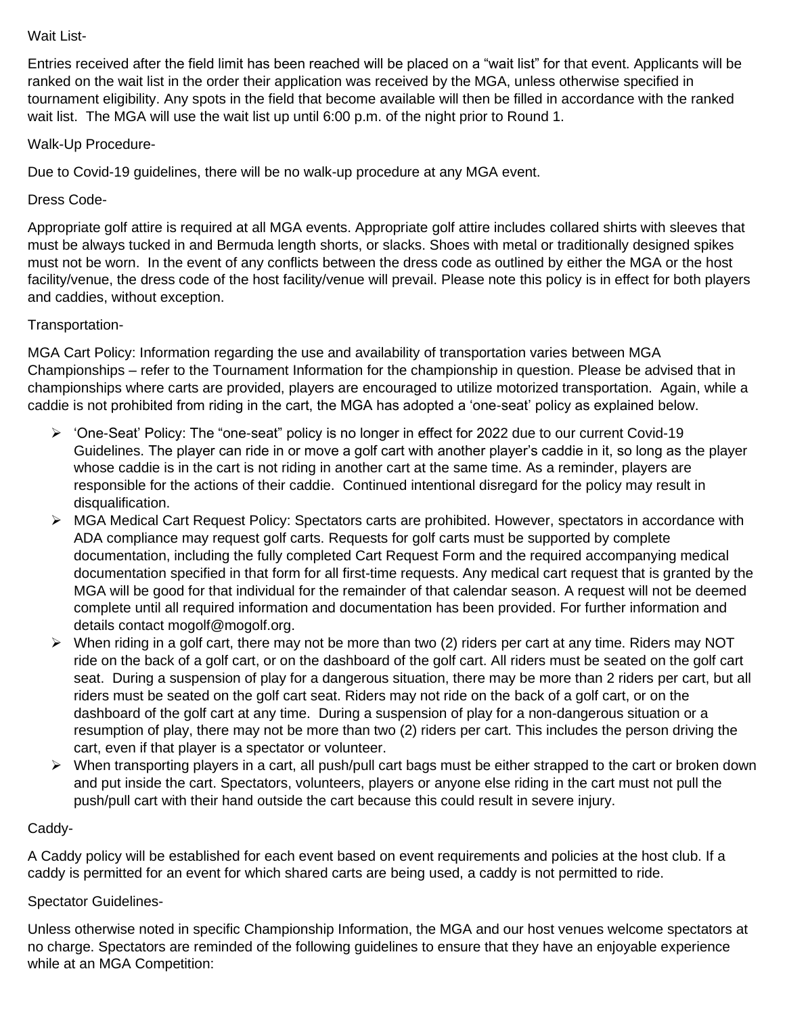#### Wait List-

Entries received after the field limit has been reached will be placed on a "wait list" for that event. Applicants will be ranked on the wait list in the order their application was received by the MGA, unless otherwise specified in tournament eligibility. Any spots in the field that become available will then be filled in accordance with the ranked wait list. The MGA will use the wait list up until 6:00 p.m. of the night prior to Round 1.

# Walk-Up Procedure-

Due to Covid-19 guidelines, there will be no walk-up procedure at any MGA event.

# Dress Code-

Appropriate golf attire is required at all MGA events. Appropriate golf attire includes collared shirts with sleeves that must be always tucked in and Bermuda length shorts, or slacks. Shoes with metal or traditionally designed spikes must not be worn. In the event of any conflicts between the dress code as outlined by either the MGA or the host facility/venue, the dress code of the host facility/venue will prevail. Please note this policy is in effect for both players and caddies, without exception.

# Transportation-

MGA Cart Policy: Information regarding the use and availability of transportation varies between MGA Championships – refer to the Tournament Information for the championship in question. Please be advised that in championships where carts are provided, players are encouraged to utilize motorized transportation. Again, while a caddie is not prohibited from riding in the cart, the MGA has adopted a 'one-seat' policy as explained below.

- ➢ 'One-Seat' Policy: The "one-seat" policy is no longer in effect for 2022 due to our current Covid-19 Guidelines. The player can ride in or move a golf cart with another player's caddie in it, so long as the player whose caddie is in the cart is not riding in another cart at the same time. As a reminder, players are responsible for the actions of their caddie. Continued intentional disregard for the policy may result in disqualification.
- ➢ MGA Medical Cart Request Policy: Spectators carts are prohibited. However, spectators in accordance with ADA compliance may request golf carts. Requests for golf carts must be supported by complete documentation, including the fully completed Cart Request Form and the required accompanying medical documentation specified in that form for all first-time requests. Any medical cart request that is granted by the MGA will be good for that individual for the remainder of that calendar season. A request will not be deemed complete until all required information and documentation has been provided. For further information and details contact mogolf@mogolf.org.
- $\triangleright$  When riding in a golf cart, there may not be more than two (2) riders per cart at any time. Riders may NOT ride on the back of a golf cart, or on the dashboard of the golf cart. All riders must be seated on the golf cart seat. During a suspension of play for a dangerous situation, there may be more than 2 riders per cart, but all riders must be seated on the golf cart seat. Riders may not ride on the back of a golf cart, or on the dashboard of the golf cart at any time. During a suspension of play for a non-dangerous situation or a resumption of play, there may not be more than two (2) riders per cart. This includes the person driving the cart, even if that player is a spectator or volunteer.
- $\triangleright$  When transporting players in a cart, all push/pull cart bags must be either strapped to the cart or broken down and put inside the cart. Spectators, volunteers, players or anyone else riding in the cart must not pull the push/pull cart with their hand outside the cart because this could result in severe injury.

# Caddy-

A Caddy policy will be established for each event based on event requirements and policies at the host club. If a caddy is permitted for an event for which shared carts are being used, a caddy is not permitted to ride.

# Spectator Guidelines-

Unless otherwise noted in specific Championship Information, the MGA and our host venues welcome spectators at no charge. Spectators are reminded of the following guidelines to ensure that they have an enjoyable experience while at an MGA Competition: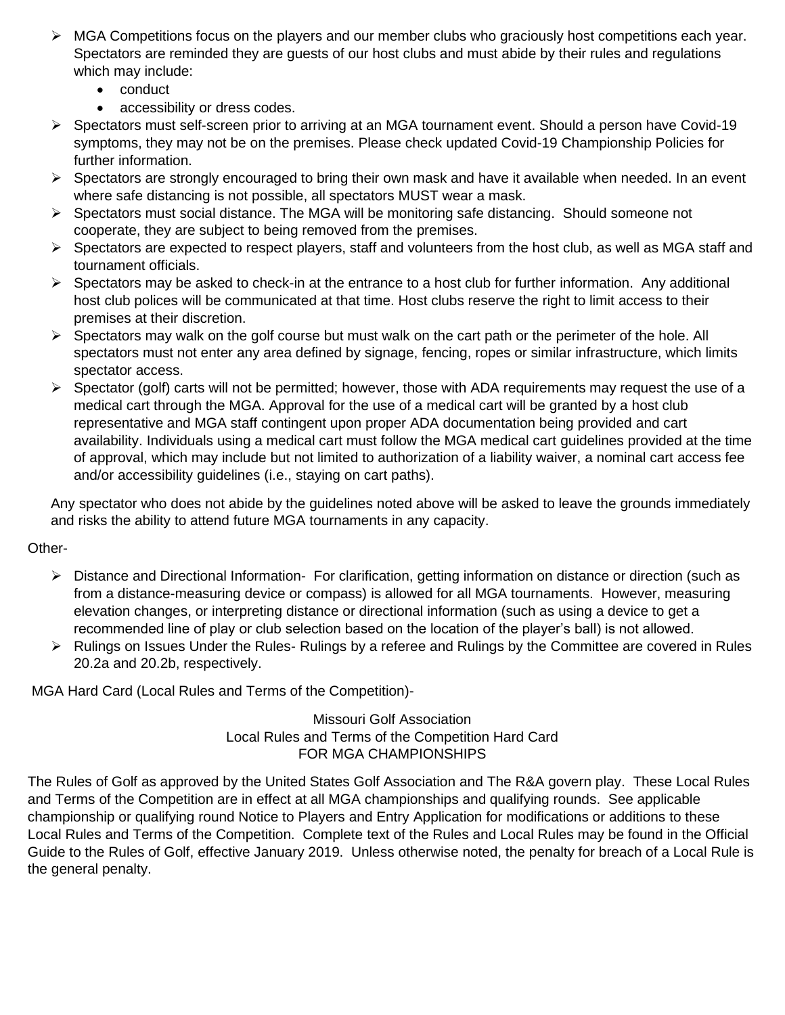- ➢ MGA Competitions focus on the players and our member clubs who graciously host competitions each year. Spectators are reminded they are guests of our host clubs and must abide by their rules and regulations which may include:
	- conduct
	- accessibility or dress codes.
- ➢ Spectators must self-screen prior to arriving at an MGA tournament event. Should a person have Covid-19 symptoms, they may not be on the premises. Please check updated Covid-19 Championship Policies for further information.
- ➢ Spectators are strongly encouraged to bring their own mask and have it available when needed. In an event where safe distancing is not possible, all spectators MUST wear a mask.
- ➢ Spectators must social distance. The MGA will be monitoring safe distancing. Should someone not cooperate, they are subject to being removed from the premises.
- $\triangleright$  Spectators are expected to respect players, staff and volunteers from the host club, as well as MGA staff and tournament officials.
- $\triangleright$  Spectators may be asked to check-in at the entrance to a host club for further information. Any additional host club polices will be communicated at that time. Host clubs reserve the right to limit access to their premises at their discretion.
- $\triangleright$  Spectators may walk on the golf course but must walk on the cart path or the perimeter of the hole. All spectators must not enter any area defined by signage, fencing, ropes or similar infrastructure, which limits spectator access.
- $\triangleright$  Spectator (golf) carts will not be permitted; however, those with ADA requirements may request the use of a medical cart through the MGA. Approval for the use of a medical cart will be granted by a host club representative and MGA staff contingent upon proper ADA documentation being provided and cart availability. Individuals using a medical cart must follow the MGA medical cart guidelines provided at the time of approval, which may include but not limited to authorization of a liability waiver, a nominal cart access fee and/or accessibility guidelines (i.e., staying on cart paths).

Any spectator who does not abide by the guidelines noted above will be asked to leave the grounds immediately and risks the ability to attend future MGA tournaments in any capacity.

# Other-

- ➢ Distance and Directional Information- For clarification, getting information on distance or direction (such as from a distance-measuring device or compass) is allowed for all MGA tournaments. However, measuring elevation changes, or interpreting distance or directional information (such as using a device to get a recommended line of play or club selection based on the location of the player's ball) is not allowed.
- ➢ Rulings on Issues Under the Rules- Rulings by a referee and Rulings by the Committee are covered in Rules 20.2a and 20.2b, respectively.

MGA Hard Card (Local Rules and Terms of the Competition)-

Missouri Golf Association Local Rules and Terms of the Competition Hard Card FOR MGA CHAMPIONSHIPS

The Rules of Golf as approved by the United States Golf Association and The R&A govern play. These Local Rules and Terms of the Competition are in effect at all MGA championships and qualifying rounds. See applicable championship or qualifying round Notice to Players and Entry Application for modifications or additions to these Local Rules and Terms of the Competition. Complete text of the Rules and Local Rules may be found in the Official Guide to the Rules of Golf, effective January 2019. Unless otherwise noted, the penalty for breach of a Local Rule is the general penalty.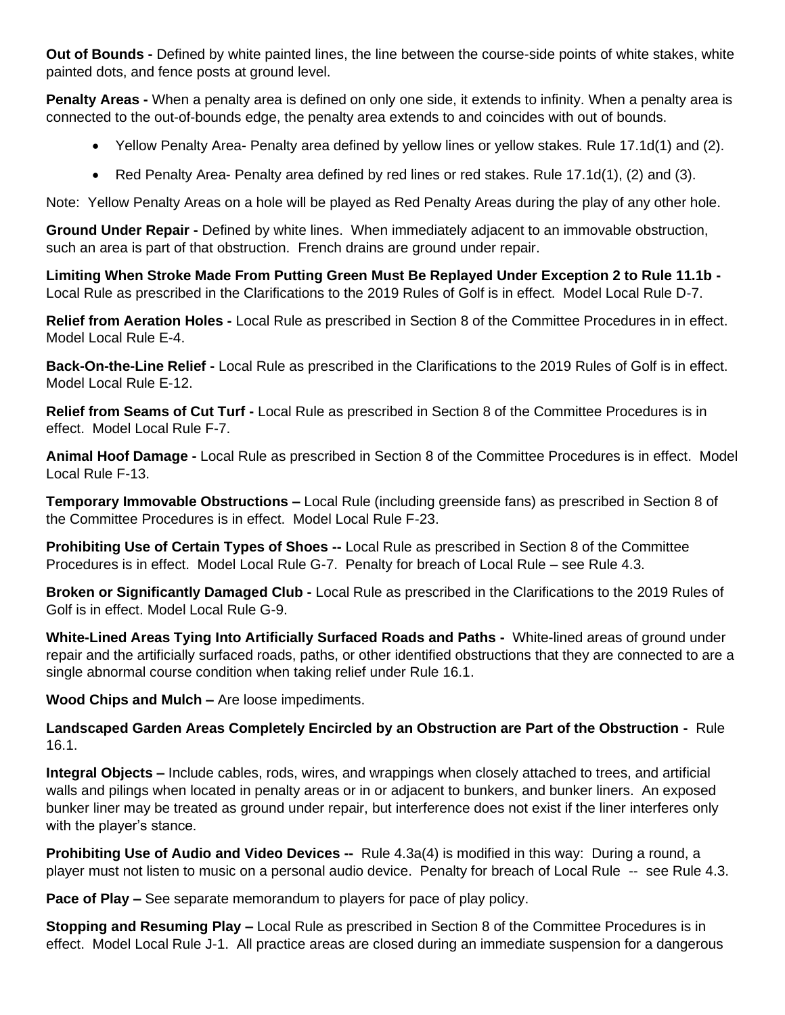**Out of Bounds -** Defined by white painted lines, the line between the course-side points of white stakes, white painted dots, and fence posts at ground level.

**Penalty Areas -** When a penalty area is defined on only one side, it extends to infinity. When a penalty area is connected to the out-of-bounds edge, the penalty area extends to and coincides with out of bounds.

- Yellow Penalty Area- Penalty area defined by yellow lines or yellow stakes. Rule 17.1d(1) and (2).
- Red Penalty Area- Penalty area defined by red lines or red stakes. Rule 17.1d(1), (2) and (3).

Note: Yellow Penalty Areas on a hole will be played as Red Penalty Areas during the play of any other hole.

**Ground Under Repair -** Defined by white lines. When immediately adjacent to an immovable obstruction, such an area is part of that obstruction. French drains are ground under repair.

**Limiting When Stroke Made From Putting Green Must Be Replayed Under Exception 2 to Rule 11.1b -**  Local Rule as prescribed in the Clarifications to the 2019 Rules of Golf is in effect. Model Local Rule D-7.

**Relief from Aeration Holes -** Local Rule as prescribed in Section 8 of the Committee Procedures in in effect. Model Local Rule E-4.

**Back-On-the-Line Relief -** Local Rule as prescribed in the Clarifications to the 2019 Rules of Golf is in effect. Model Local Rule E-12.

**Relief from Seams of Cut Turf -** Local Rule as prescribed in Section 8 of the Committee Procedures is in effect. Model Local Rule F-7.

**Animal Hoof Damage -** Local Rule as prescribed in Section 8 of the Committee Procedures is in effect. Model Local Rule F-13.

**Temporary Immovable Obstructions –** Local Rule (including greenside fans) as prescribed in Section 8 of the Committee Procedures is in effect. Model Local Rule F-23.

**Prohibiting Use of Certain Types of Shoes --** Local Rule as prescribed in Section 8 of the Committee Procedures is in effect. Model Local Rule G-7. Penalty for breach of Local Rule – see Rule 4.3.

**Broken or Significantly Damaged Club -** Local Rule as prescribed in the Clarifications to the 2019 Rules of Golf is in effect. Model Local Rule G-9.

**White-Lined Areas Tying Into Artificially Surfaced Roads and Paths -** White-lined areas of ground under repair and the artificially surfaced roads, paths, or other identified obstructions that they are connected to are a single abnormal course condition when taking relief under Rule 16.1.

**Wood Chips and Mulch –** Are loose impediments.

**Landscaped Garden Areas Completely Encircled by an Obstruction are Part of the Obstruction -** Rule 16.1.

**Integral Objects –** Include cables, rods, wires, and wrappings when closely attached to trees, and artificial walls and pilings when located in penalty areas or in or adjacent to bunkers, and bunker liners. An exposed bunker liner may be treated as ground under repair, but interference does not exist if the liner interferes only with the player's stance.

**Prohibiting Use of Audio and Video Devices --** Rule 4.3a(4) is modified in this way: During a round, a player must not listen to music on a personal audio device. Penalty for breach of Local Rule -- see Rule 4.3.

**Pace of Play –** See separate memorandum to players for pace of play policy.

**Stopping and Resuming Play –** Local Rule as prescribed in Section 8 of the Committee Procedures is in effect. Model Local Rule J-1. All practice areas are closed during an immediate suspension for a dangerous